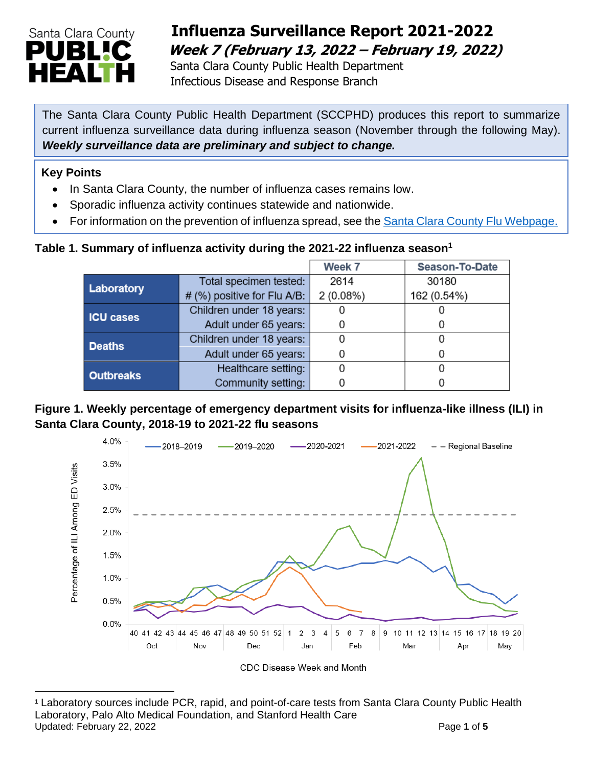

## **Influenza Surveillance Report 2021-2022 Week 7 (February 13, 2022 – February 19, 2022)**

 Santa Clara County Public Health Department Infectious Disease and Response Branch

The Santa Clara County Public Health Department (SCCPHD) produces this report to summarize current influenza surveillance data during influenza season (November through the following May). *Weekly surveillance data are preliminary and subject to change.*

#### **Key Points**

- In Santa Clara County, the number of influenza cases remains low.
- Sporadic influenza activity continues statewide and nationwide.
- For information on the prevention of influenza spread, see the [Santa Clara County Flu Webpage.](https://publichealth.sccgov.org/disease-information/influenza-flu)

### **Table 1. Summary of influenza activity during the 2021-22 influenza season<sup>1</sup>**

|                  |                             | Week 7   | <b>Season-To-Date</b> |
|------------------|-----------------------------|----------|-----------------------|
| Laboratory       | Total specimen tested:      | 2614     | 30180                 |
|                  | # (%) positive for Flu A/B: | 2(0.08%) | 162 (0.54%)           |
| <b>ICU cases</b> | Children under 18 years:    |          |                       |
|                  | Adult under 65 years:       |          |                       |
| <b>Deaths</b>    | Children under 18 years:    |          |                       |
|                  | Adult under 65 years:       |          |                       |
| <b>Outbreaks</b> | Healthcare setting:         |          |                       |
|                  | Community setting:          |          |                       |

**Figure 1. Weekly percentage of emergency department visits for influenza-like illness (ILI) in Santa Clara County, 2018-19 to 2021-22 flu seasons**



<sup>1</sup> Laboratory sources include PCR, rapid, and point-of-care tests from Santa Clara County Public Health Laboratory, Palo Alto Medical Foundation, and Stanford Health Care Updated: February 22, 2022 **Page 1** of 5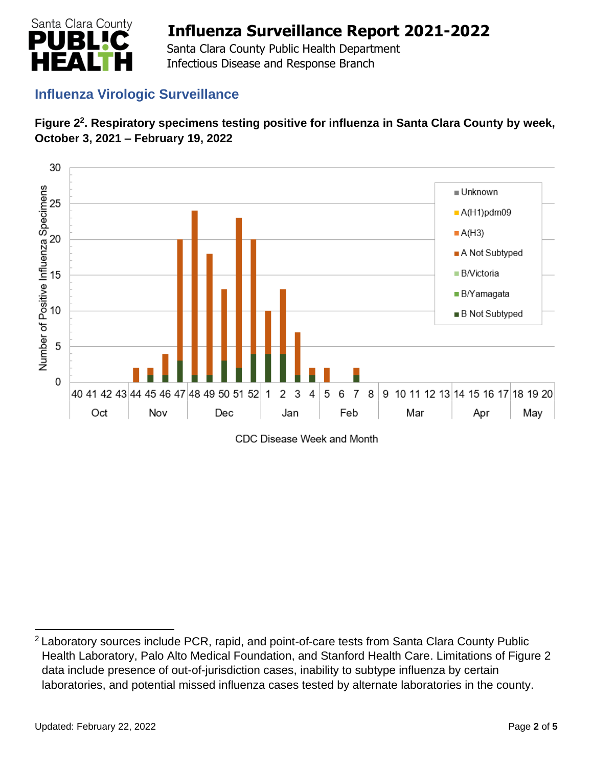

 Santa Clara County Public Health Department Infectious Disease and Response Branch

## **Influenza Virologic Surveillance**





CDC Disease Week and Month

<sup>&</sup>lt;sup>2</sup> Laboratory sources include PCR, rapid, and point-of-care tests from Santa Clara County Public Health Laboratory, Palo Alto Medical Foundation, and Stanford Health Care. Limitations of Figure 2 data include presence of out-of-jurisdiction cases, inability to subtype influenza by certain laboratories, and potential missed influenza cases tested by alternate laboratories in the county.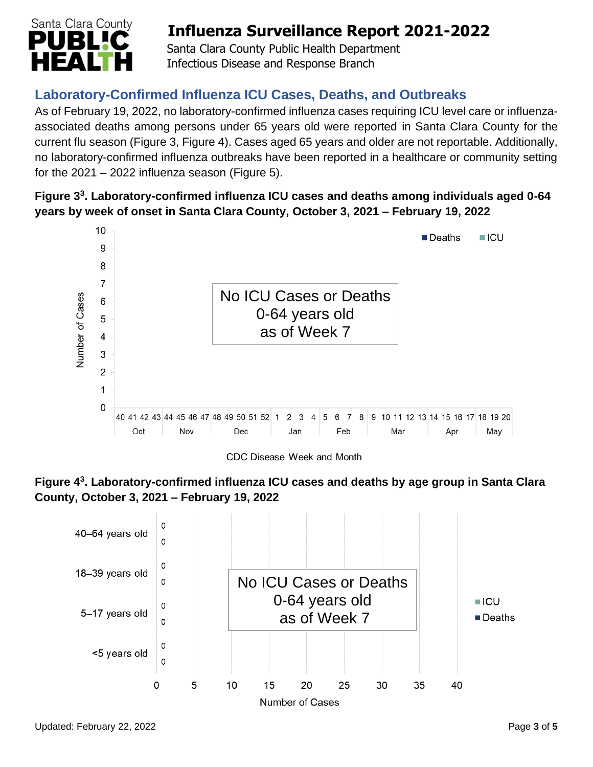

 Santa Clara County Public Health Department Infectious Disease and Response Branch

## **Laboratory-Confirmed Influenza ICU Cases, Deaths, and Outbreaks**

As of February 19, 2022, no laboratory-confirmed influenza cases requiring ICU level care or influenzaassociated deaths among persons under 65 years old were reported in Santa Clara County for the current flu season (Figure 3, Figure 4). Cases aged 65 years and older are not reportable. Additionally, no laboratory-confirmed influenza outbreaks have been reported in a healthcare or community setting for the  $2021 - 2022$  influenza season (Figure 5).

## **Figure 3 3 . Laboratory-confirmed influenza ICU cases and deaths among individuals aged 0-64 years by week of onset in Santa Clara County, October 3, 2021 – February 19, 2022**



CDC Disease Week and Month



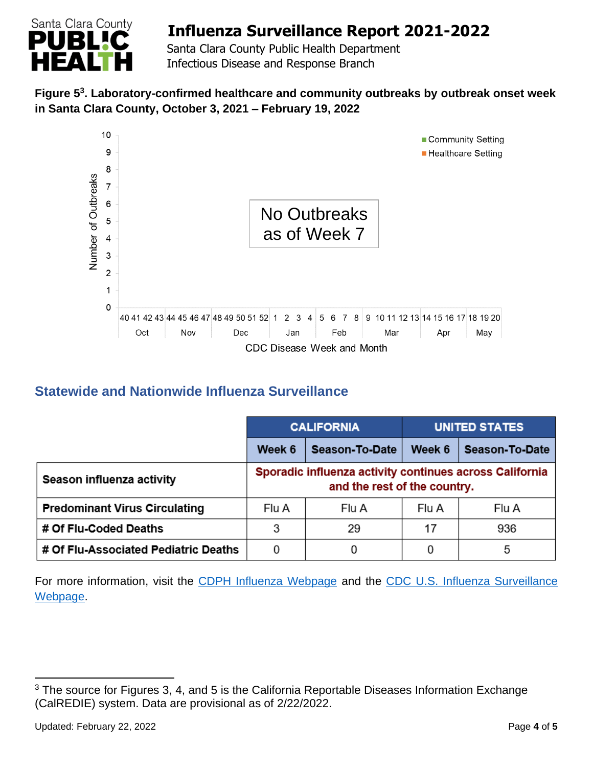

 Santa Clara County Public Health Department Infectious Disease and Response Branch

### **Figure 5 3 . Laboratory-confirmed healthcare and community outbreaks by outbreak onset week in Santa Clara County, October 3, 2021 – February 19, 2022**



## **Statewide and Nationwide Influenza Surveillance**

|                                      | <b>CALIFORNIA</b>                                                                       |                | <b>UNITED STATES</b> |                |
|--------------------------------------|-----------------------------------------------------------------------------------------|----------------|----------------------|----------------|
|                                      | Week 6                                                                                  | Season-To-Date | Week 6               | Season-To-Date |
| Season influenza activity            | Sporadic influenza activity continues across California<br>and the rest of the country. |                |                      |                |
| <b>Predominant Virus Circulating</b> | Flu A                                                                                   | Flu A          | Flu A                | Flu A          |
| # Of Flu-Coded Deaths                | 3                                                                                       | 29             | 17                   | 936            |
| # Of Flu-Associated Pediatric Deaths | 0                                                                                       | 0              | 0                    | 5              |

For more information, visit the [CDPH Influenza Webpage](http://www.cdph.ca.gov/Programs/CID/DCDC/Pages/Immunization/Influenza.aspx) and the [CDC U.S. Influenza Surveillance](http://www.cdc.gov/flu/weekly/)  [Webpage.](http://www.cdc.gov/flu/weekly/)

<sup>&</sup>lt;sup>3</sup> The source for Figures 3, 4, and 5 is the California Reportable Diseases Information Exchange (CalREDIE) system. Data are provisional as of 2/22/2022.